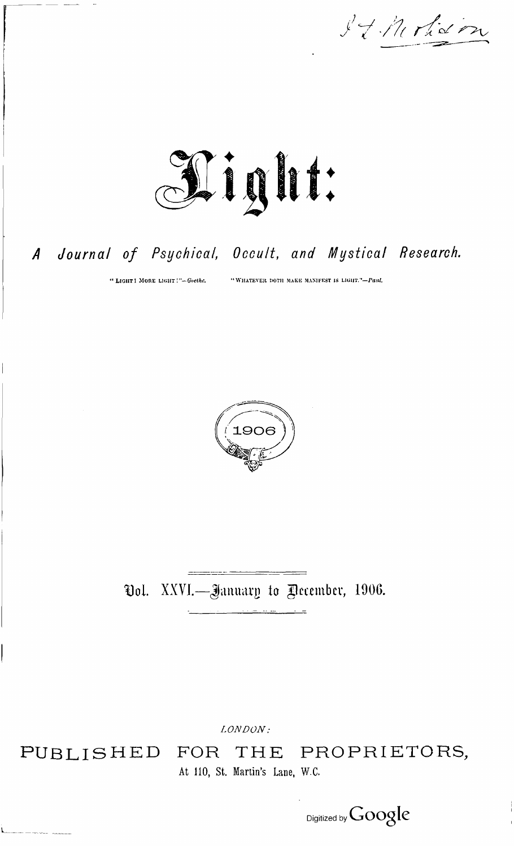It Moham



## Journal of Psychical, Occult, and Mystical Research.  $\boldsymbol{A}$

" LIGHT ! MORE LIGHT !"-Goethe.

"WHATEVER DOTH MAKE MANIFEST IS LIGHT."-Paul.



Ool. XXVI.-January to Pecember, 1906.

LONDON:

PUBLISHED

THE PROPRIETORS, FOR At 110, St. Martin's Lane, W.C.

Digitized by Google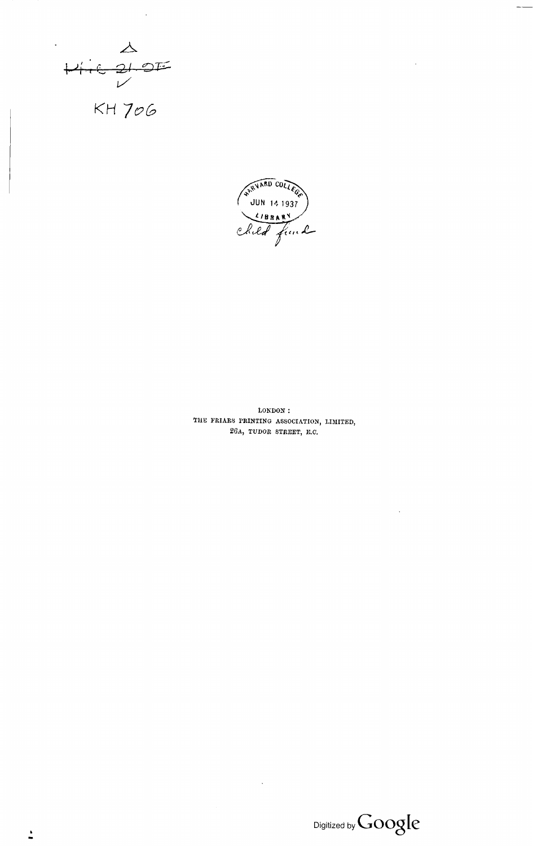$X$ <br>  $Y$  i e 21 01<br>  $X$ H 706  $\Omega$ 



LONDON: THE FRIARS PRINTING ASSOCIATION, LIMITED, 26A, TUDOR STREET, E.C.

 $\bar{z}$ 

 $\text{Digital by Google}$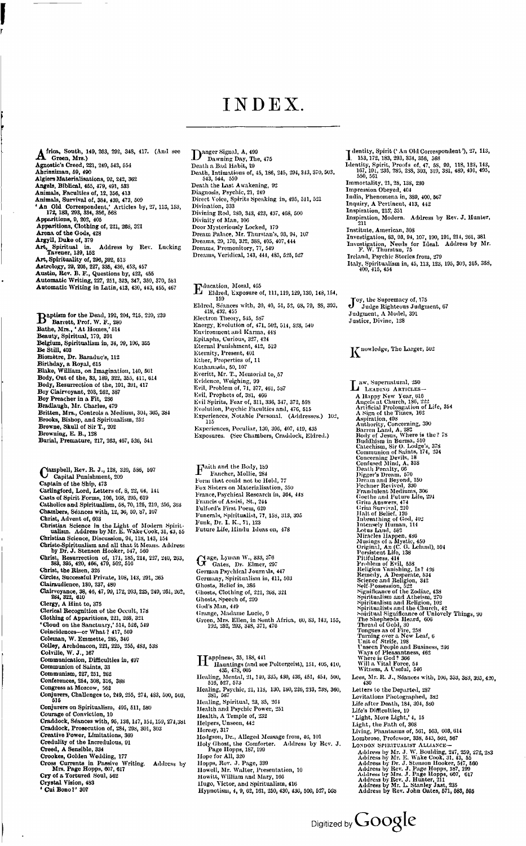## INDEX

**A** frica, South, 149, 263, 292, 348, 417. (And see<br>Agnostic's Creed, 221, 240, 543, 554<br>Abrinsiman, 59, 490<br>Algiers Materialisations, 92, 242, 362 Angels, Biblical, 455, 479, 491, 533<br>
Animals, Faculties of, 12, 356, 413<br>
Animals, Survival of, 384, 439, 473, 509<br>
Animals, Survival of, 384, 439, 473, 509<br>
'An Old Correspondent,' Articles by, 27, 113, 153,<br>
172, 183, 2 Art, Spiritual in. Address by Rev. Lucking<br>Tavener, 139, 152<br>Art, Spirituality of, 296, 392, 513<br>Astrology, 29, 205, 227, 335, 436, 453, 457<br>Austin, Rev. B. F., Questions by, 422, 455<br>Automatic Writing, 227, 251, 323, 347,

B aptism for the Dead, 192, 204, 215, 220, <sup>239</sup> Barrett, Prof. W. F., 280 Bathe, Mrs., \* At Homes,' <sup>514</sup> Beauty, Spiritual, 179, 391 Belgium, Spiritualism in, 34, 99, 106, 355<br>Be Still, 403<br>Biomètre, Dr. Baraduc's, 112<br>Birthday, a Royal, 615<br>Birthday, a Royal, 615<br>Blake, William, on Imagination, 140, 501<br>Body, Out of the, 83, 180, 322, 355, 411, 614<br>Bod Bradlaugh, Mr. Charles, 470 Britten, Mrs., Controls a Medium, 304, 365, <sup>384</sup> Brooks, Bishop, and Spiritualism, 252 Browne, Skull of Sir T., 202 Browning, E. B., 128 Burial, Premature, 217, 263, 467, 520, 541

- **Campbell, Rev. R. J., 128, 320, 536, 507**<br>Capital Punishment, 200<br>Captain of the Ship, 473<br>Carlingford, Lord, Letters of, 8, 22, 64, 141<br>Casts of Spirit Forms, 106, 168, 295, 610<br>Catholics and Spiritualism, 58, 70, 125, 2 Christ, Advent of, 603<br>Christian Science in the Light of Modern Spirit-<br>ulaism. Address by Mr. E. Wake Cook, 31, 43, 55<br>Christian Science, Discussion, 94, 118, 143, 154<br>Christo-Spiritualism and all that it Means. Address<br>b Christ, Resurrection of, 171, 185, 214, 227, 240, 263, 395, 395, 420, 466, 479, 502, 516<br>Christ, the Risen, 326<br>Circles, Successful Private, 108, 143, 201, 365<br>Circles, Successful Private, 108, 143, 201, 365<br>Clairaudience,
- 
- 
- 
- 
- 
- 
- Colville, W. J., 167<br>Communication, Difficulties in, 407<br>Communion of Saints, 33
- 
- 
- 
- Communism, 227, 251, 262 Conferences, 254, 308, 316, 388 Congress at Moscow, <sup>562</sup> Conjurers, Challenges to, 249, 255, 274, 483, 500, 503, 615
- 
- Conjurers on Spiritualism, 495, 511, 580<br>Courage of Conviction, 10<br>Craddock, Séances with, 96, 136, 147, 154, 159, 274, 381<br>Craddock, Séances with, 96, 136, 137, 301, 303<br>Creative Power, Limitations, 309<br>Creative Power, Li
- 
- 
- 
- 
- 
- 

**D** nager Signal, A, 499<br>
Dauring Day, The, 475<br>
Death a Bad Habit, 29<br>
Death, Intimations of, 45, 186, 245, 294, 343, 370, 503,<br>
543, 544, 559<br>
Diagnosis, Psychic, 21, 240<br>
Diagnosis, Psychic, 21, 249<br>
Direct Voice, Spir

**Francish 1013**<br>
Eldred, Exposure of, 111, 110, 129, 130, 148, 154, 159<br>
Eldred, Exposure of, 111, 110, 129, 130, 148, 154,<br>
159<br>
Hetter, Seances with, 39, 40, 51, 52, 63, 79, 88, 393,<br>
Electron Theory, 545, 587<br>
Energy, Experiences, Peculiar, 130, 396, 407, 419, 435 Exposures. (See Chambers, Craddock, Eldred.)

 $\Gamma_{\rm{Hancher, Mollie, 284}}^{\rm{aith and the Body, 159}}$ Fox Sisters on Materialisation, 350 France, Psychical Research in, 364, 448 Francis of Assisi, St., 244 Fulford's First Poem, 620 Funerals, Spiritualist, 77, 158, 313, 395 Funk, Dr. I. K., 71, <sup>123</sup> Future Life, Hindu Ideas on, 478

G age, Lyman W., 333, 376 Gates, Dr. Elmer, 297 German Psychical Journals, 447 Germany, Spiritualism in, 411, 503 Ghosts, Belief in, 386 Ghosts, Clothing of, 221, 268, 321 Ghosts, Speech of, 299 God's Man, 440 Grange, Madame Lucie, <sup>9</sup> Green, Mrs. Ellen, in South Africa, 60, 83, 143, 155, 192, 252, 293, 348, 371, 476

H Ilauntings (and see Poltergeist), 151, 405, 410,<br>
1435, 478, 605<br>
Healing, Mental, 21, 140, 335, 430, 436, 451, 454, 500,<br>
516, 527, 573<br>
Healing, Psychic, 21, 118, 130, 180, 226, 233, 238, 360,<br>
381, 587<br>
381, 587 Healing, Spiritual, 23, 35, 264 Health and Psychic Power, 251 Health, A Temple of, 232 Helpers, Unseen, 442 Heresy, 317 Hodgson, Dr., Alleged Message from, 46, 101 Holy Ghost, the Comforter. Address by Rev. J.<br>Page Hopps, 187, 190<br>Hope for All, 320<br>Hopps, Rev. J. Page, 339<br>Howell, Mr. Walter, Presentation, 10<br>Howitt, William and Mary, 160<br>Hypnotism, 4, 9, 62, 161, 250, 430, 436, 500,

- 
- I dentity, Spirit (' An Old Correspondent '), 27, 113, . 153,172, 183, 293, 334, 356, 568 Identity, Spirit, Proofs of, 47, 5S, 90, 118, 123, 143, 167. 191, 236, 286, 288, 303, 319, 381, 489, 491, 495, 550, 561
- Immortality, 21, 28, 138, 230 Impression Obeyed, 404
- 
- 
- 
- India, Phenomena in, 389, 400, 567<br>Inquiry, A Pertinent, 413, 442<br>Inspiration, 215, 351<br>Inspiration, Modern. Address by Bev. J. Hunter,<br><sup>211</sup>
- 
- Institute, American, 303<br>
Investigation, 83, 93, 94, 107, 100, 101, 214, 261, 381<br>
Investigation, Needs for Ideal. Address by Mr.<br>
F. W. Thurstan, 75<br>
Ireland, Psychic Stories from, 279<br>
Italy, Spiritualism in, 45, 113, 12
- 

J oy, the Supremacy of, 175 Judge Righteous Judgment, 67 Judgment, A Model, 391 Justice, Divine, 128

## K nowledge, The Larger, 502

I aw, Supernatural, 250<br>
A Happy New Year, 015<br>
A Happy New Year, 016<br>
Angels at Church, 186, 222<br>
Artificial Prolongation of Life, 354<br>
A Sign of the Times, 102<br>
Artificial Prolongation of Life, 354<br>
Asymation, 408<br>
Barre Lees, Mr. R. J., Séances with, 106, 353, 383, <sup>395</sup> 420 430 Levitations Photographed, 382<br>Levitations Photographed, 382<br>Life after Death, 184, 304, 580<br>Life's Difficulties, 19<br>' Light, More Light,' 4, 15 Light, the Path of, 308<br>Living, Phantasms of, 561, 563, 603, 604<br>Lombroso, Professor, 358, 545, 562, 567<br>Loxpox Srintry.ALIST ALLIANCE—<br>Address by Mr. J. W. Boulding, 247, 259, 272, 283<br>Address by Mr. J. W. Ree Cook, 31, 4